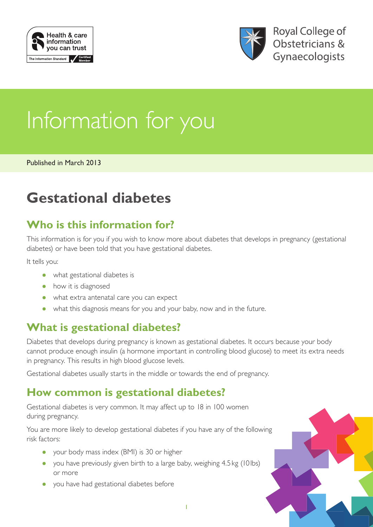



# Information for you

Published in March 2013

## **Gestational diabetes**

## **Who is this information for?**

This information is for you if you wish to know more about diabetes that develops in pregnancy (gestational diabetes) or have been told that you have gestational diabetes.

It tells you:

- what gestational diabetes is
- how it is diagnosed
- what extra antenatal care you can expect
- what this diagnosis means for you and your baby, now and in the future.

## **What is gestational diabetes?**

Diabetes that develops during pregnancy is known as gestational diabetes. It occurs because your body cannot produce enough insulin (a hormone important in controlling blood glucose) to meet its extra needs in pregnancy. This results in high blood glucose levels.

Gestational diabetes usually starts in the middle or towards the end of pregnancy.

## **How common is gestational diabetes?**

Gestational diabetes is very common. It may affect up to 18 in 100 women during pregnancy.

You are more likely to develop gestational diabetes if you have any of the following risk factors:

- your body mass index (BMI) is 30 or higher
- you have previously given birth to a large baby, weighing 4.5 kg (10 lbs) or more
- you have had gestational diabetes before

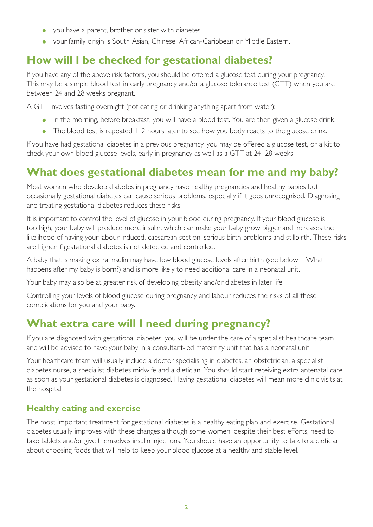- you have a parent, brother or sister with diabetes
- your family origin is South Asian, Chinese, African-Caribbean or Middle Eastern.

## **How will I be checked for gestational diabetes?**

If you have any of the above risk factors, you should be offered a glucose test during your pregnancy. This may be a simple blood test in early pregnancy and/or a glucose tolerance test (GTT) when you are between 24 and 28 weeks pregnant.

A GTT involves fasting overnight (not eating or drinking anything apart from water):

- In the morning, before breakfast, you will have a blood test. You are then given a glucose drink.
- The blood test is repeated 1–2 hours later to see how you body reacts to the glucose drink.

If you have had gestational diabetes in a previous pregnancy, you may be offered a glucose test, or a kit to check your own blood glucose levels, early in pregnancy as well as a GTT at 24–28 weeks.

## **What does gestational diabetes mean for me and my baby?**

Most women who develop diabetes in pregnancy have healthy pregnancies and healthy babies but occasionally gestational diabetes can cause serious problems, especially if it goes unrecognised. Diagnosing and treating gestational diabetes reduces these risks.

It is important to control the level of glucose in your blood during pregnancy. If your blood glucose is too high, your baby will produce more insulin, which can make your baby grow bigger and increases the likelihood of having your labour induced, caesarean section, serious birth problems and stillbirth. These risks are higher if gestational diabetes is not detected and controlled.

A baby that is making extra insulin may have low blood glucose levels after birth (see below – What happens after my baby is born?) and is more likely to need additional care in a neonatal unit.

Your baby may also be at greater risk of developing obesity and/or diabetes in later life.

Controlling your levels of blood glucose during pregnancy and labour reduces the risks of all these complications for you and your baby.

### **What extra care will I need during pregnancy?**

If you are diagnosed with gestational diabetes, you will be under the care of a specialist healthcare team and will be advised to have your baby in a consultant-led maternity unit that has a neonatal unit.

Your healthcare team will usually include a doctor specialising in diabetes, an obstetrician, a specialist diabetes nurse, a specialist diabetes midwife and a dietician. You should start receiving extra antenatal care as soon as your gestational diabetes is diagnosed. Having gestational diabetes will mean more clinic visits at the hospital.

#### **Healthy eating and exercise**

The most important treatment for gestational diabetes is a healthy eating plan and exercise. Gestational diabetes usually improves with these changes although some women, despite their best efforts, need to take tablets and/or give themselves insulin injections. You should have an opportunity to talk to a dietician about choosing foods that will help to keep your blood glucose at a healthy and stable level.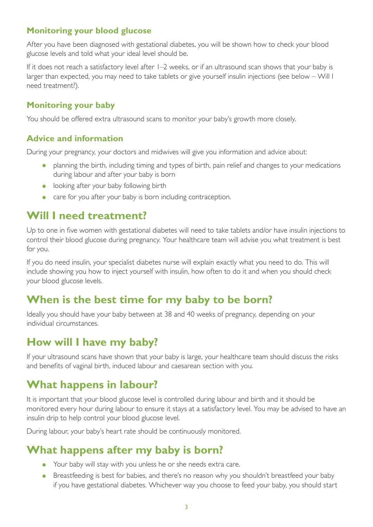#### **Monitoring your blood glucose**

After you have been diagnosed with gestational diabetes, you will be shown how to check your blood glucose levels and told what your ideal level should be.

If it does not reach a satisfactory level after 1–2 weeks, or if an ultrasound scan shows that your baby is larger than expected, you may need to take tablets or give yourself insulin injections (see below – Will I need treatment?).

#### **Monitoring your baby**

You should be offered extra ultrasound scans to monitor your baby's growth more closely.

#### **Advice and information**

During your pregnancy, your doctors and midwives will give you information and advice about:

- planning the birth, including timing and types of birth, pain relief and changes to your medications during labour and after your baby is born
- looking after your baby following birth
- care for you after your baby is born including contraception.

## **Will I need treatment?**

Up to one in five women with gestational diabetes will need to take tablets and/or have insulin injections to control their blood glucose during pregnancy. Your healthcare team will advise you what treatment is best for you.

If you do need insulin, your specialist diabetes nurse will explain exactly what you need to do. This will include showing you how to inject yourself with insulin, how often to do it and when you should check your blood glucose levels.

## **When is the best time for my baby to be born?**

Ideally you should have your baby between at 38 and 40 weeks of pregnancy, depending on your individual circumstances.

## **How will I have my baby?**

If your ultrasound scans have shown that your baby is large, your healthcare team should discuss the risks and benefits of vaginal birth, induced labour and caesarean section with you.

## **What happens in labour?**

It is important that your blood glucose level is controlled during labour and birth and it should be monitored every hour during labour to ensure it stays at a satisfactory level. You may be advised to have an insulin drip to help control your blood glucose level.

During labour, your baby's heart rate should be continuously monitored.

## **What happens after my baby is born?**

- Your baby will stay with you unless he or she needs extra care.
- Breastfeeding is best for babies, and there's no reason why you shouldn't breastfeed your baby if you have gestational diabetes. Whichever way you choose to feed your baby, you should start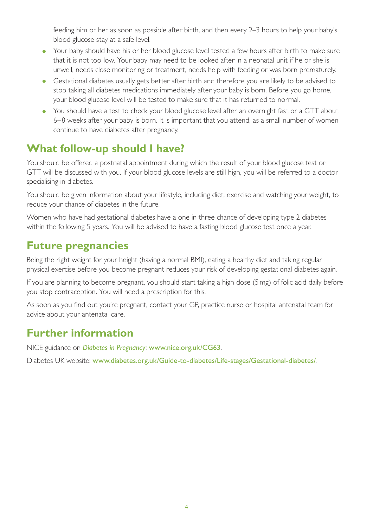feeding him or her as soon as possible after birth, and then every 2–3 hours to help your baby's blood glucose stay at a safe level.

- Your baby should have his or her blood glucose level tested a few hours after birth to make sure that it is not too low. Your baby may need to be looked after in a neonatal unit if he or she is unwell, needs close monitoring or treatment, needs help with feeding or was born prematurely.
- Gestational diabetes usually gets better after birth and therefore you are likely to be advised to stop taking all diabetes medications immediately after your baby is born. Before you go home, your blood glucose level will be tested to make sure that it has returned to normal.
- You should have a test to check your blood glucose level after an overnight fast or a GTT about 6–8 weeks after your baby is born. It is important that you attend, as a small number of women continue to have diabetes after pregnancy.

## **What follow-up should I have?**

You should be offered a postnatal appointment during which the result of your blood glucose test or GTT will be discussed with you. If your blood glucose levels are still high, you will be referred to a doctor specialising in diabetes.

You should be given information about your lifestyle, including diet, exercise and watching your weight, to reduce your chance of diabetes in the future.

Women who have had gestational diabetes have a one in three chance of developing type 2 diabetes within the following 5 years. You will be advised to have a fasting blood glucose test once a year.

## **Future pregnancies**

Being the right weight for your height (having a normal BMI), eating a healthy diet and taking regular physical exercise before you become pregnant reduces your risk of developing gestational diabetes again.

If you are planning to become pregnant, you should start taking a high dose (5mg) of folic acid daily before you stop contraception. You will need a prescription for this.

As soon as you find out you're pregnant, contact your GP, practice nurse or hospital antenatal team for advice about your antenatal care.

## **Further information**

NICE guidance on *[Diabetes in Pregnancy](http://www.nice.org.uk/CG63)*: [www.nice.org.uk/CG63](http://www.nice.org.uk/CG63).

Diabetes UK website: [www.diabetes.org.uk/Guide-to-diabetes/Life-stages/Gestational-diabetes/](http://www.diabetes.org.uk/Guide-to-diabetes/Life-stages/Gestational-diabetes/).